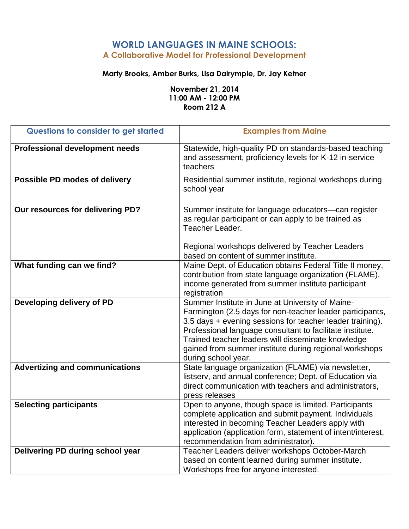### **WORLD LANGUAGES IN MAINE SCHOOLS: A Collaborative Model for Professional Development**

#### **Marty Brooks, Amber Burks, Lisa Dalrymple, Dr. Jay Ketner**

**November 21, 2014 11:00 AM - 12:00 PM Room 212 A**

| Questions to consider to get started  | <b>Examples from Maine</b>                                                                                                                                                                                                                                                                                                                                                     |
|---------------------------------------|--------------------------------------------------------------------------------------------------------------------------------------------------------------------------------------------------------------------------------------------------------------------------------------------------------------------------------------------------------------------------------|
| <b>Professional development needs</b> | Statewide, high-quality PD on standards-based teaching<br>and assessment, proficiency levels for K-12 in-service<br>teachers                                                                                                                                                                                                                                                   |
| Possible PD modes of delivery         | Residential summer institute, regional workshops during<br>school year                                                                                                                                                                                                                                                                                                         |
| Our resources for delivering PD?      | Summer institute for language educators-can register<br>as regular participant or can apply to be trained as<br>Teacher Leader.                                                                                                                                                                                                                                                |
|                                       | Regional workshops delivered by Teacher Leaders<br>based on content of summer institute.                                                                                                                                                                                                                                                                                       |
| What funding can we find?             | Maine Dept. of Education obtains Federal Title II money,<br>contribution from state language organization (FLAME),<br>income generated from summer institute participant<br>registration                                                                                                                                                                                       |
| Developing delivery of PD             | Summer Institute in June at University of Maine-<br>Farmington (2.5 days for non-teacher leader participants,<br>3.5 days + evening sessions for teacher leader training).<br>Professional language consultant to facilitate institute.<br>Trained teacher leaders will disseminate knowledge<br>gained from summer institute during regional workshops<br>during school year. |
| <b>Advertizing and communications</b> | State language organization (FLAME) via newsletter,<br>listserv, and annual conference; Dept. of Education via<br>direct communication with teachers and administrators,<br>press releases                                                                                                                                                                                     |
| <b>Selecting participants</b>         | Open to anyone, though space is limited. Participants<br>complete application and submit payment. Individuals<br>interested in becoming Teacher Leaders apply with<br>application (application form, statement of intent/interest,<br>recommendation from administrator).                                                                                                      |
| Delivering PD during school year      | Teacher Leaders deliver workshops October-March<br>based on content learned during summer institute.<br>Workshops free for anyone interested.                                                                                                                                                                                                                                  |